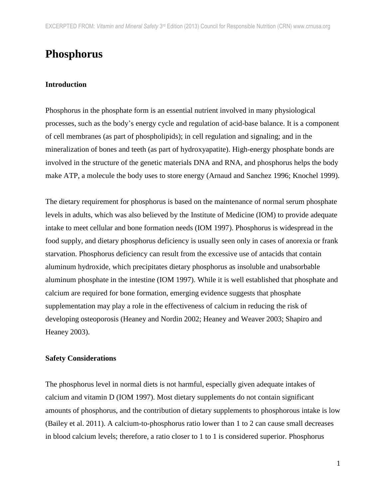# **Phosphorus**

#### **Introduction**

Phosphorus in the phosphate form is an essential nutrient involved in many physiological processes, such as the body's energy cycle and regulation of acid-base balance. It is a component of cell membranes (as part of phospholipids); in cell regulation and signaling; and in the mineralization of bones and teeth (as part of hydroxyapatite). High-energy phosphate bonds are involved in the structure of the genetic materials DNA and RNA, and phosphorus helps the body make ATP, a molecule the body uses to store energy (Arnaud and Sanchez 1996; Knochel 1999).

The dietary requirement for phosphorus is based on the maintenance of normal serum phosphate levels in adults, which was also believed by the Institute of Medicine (IOM) to provide adequate intake to meet cellular and bone formation needs (IOM 1997). Phosphorus is widespread in the food supply, and dietary phosphorus deficiency is usually seen only in cases of anorexia or frank starvation. Phosphorus deficiency can result from the excessive use of antacids that contain aluminum hydroxide, which precipitates dietary phosphorus as insoluble and unabsorbable aluminum phosphate in the intestine (IOM 1997). While it is well established that phosphate and calcium are required for bone formation, emerging evidence suggests that phosphate supplementation may play a role in the effectiveness of calcium in reducing the risk of developing osteoporosis (Heaney and Nordin 2002; Heaney and Weaver 2003; Shapiro and Heaney 2003).

#### **Safety Considerations**

The phosphorus level in normal diets is not harmful, especially given adequate intakes of calcium and vitamin D (IOM 1997). Most dietary supplements do not contain significant amounts of phosphorus, and the contribution of dietary supplements to phosphorous intake is low (Bailey et al. 2011). A calcium-to-phosphorus ratio lower than 1 to 2 can cause small decreases in blood calcium levels; therefore, a ratio closer to 1 to 1 is considered superior. Phosphorus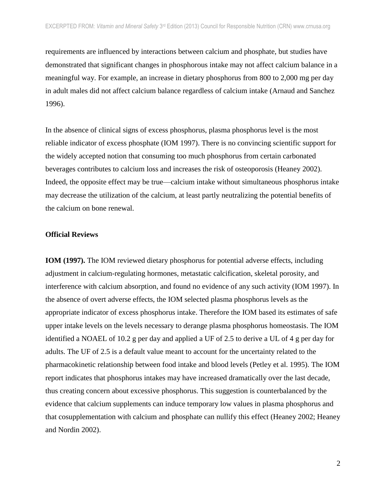requirements are influenced by interactions between calcium and phosphate, but studies have demonstrated that significant changes in phosphorous intake may not affect calcium balance in a meaningful way. For example, an increase in dietary phosphorus from 800 to 2,000 mg per day in adult males did not affect calcium balance regardless of calcium intake (Arnaud and Sanchez 1996).

In the absence of clinical signs of excess phosphorus, plasma phosphorus level is the most reliable indicator of excess phosphate (IOM 1997). There is no convincing scientific support for the widely accepted notion that consuming too much phosphorus from certain carbonated beverages contributes to calcium loss and increases the risk of osteoporosis (Heaney 2002). Indeed, the opposite effect may be true—calcium intake without simultaneous phosphorus intake may decrease the utilization of the calcium, at least partly neutralizing the potential benefits of the calcium on bone renewal.

#### **Official Reviews**

**IOM (1997).** The IOM reviewed dietary phosphorus for potential adverse effects, including adjustment in calcium-regulating hormones, metastatic calcification, skeletal porosity, and interference with calcium absorption, and found no evidence of any such activity (IOM 1997). In the absence of overt adverse effects, the IOM selected plasma phosphorus levels as the appropriate indicator of excess phosphorus intake. Therefore the IOM based its estimates of safe upper intake levels on the levels necessary to derange plasma phosphorus homeostasis. The IOM identified a NOAEL of 10.2 g per day and applied a UF of 2.5 to derive a UL of 4 g per day for adults. The UF of 2.5 is a default value meant to account for the uncertainty related to the pharmacokinetic relationship between food intake and blood levels (Petley et al. 1995). The IOM report indicates that phosphorus intakes may have increased dramatically over the last decade, thus creating concern about excessive phosphorus. This suggestion is counterbalanced by the evidence that calcium supplements can induce temporary low values in plasma phosphorus and that cosupplementation with calcium and phosphate can nullify this effect (Heaney 2002; Heaney and Nordin 2002).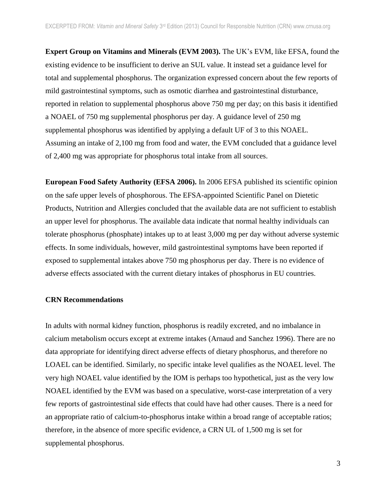**Expert Group on Vitamins and Minerals (EVM 2003).** The UK's EVM, like EFSA, found the existing evidence to be insufficient to derive an SUL value. It instead set a guidance level for total and supplemental phosphorus. The organization expressed concern about the few reports of mild gastrointestinal symptoms, such as osmotic diarrhea and gastrointestinal disturbance, reported in relation to supplemental phosphorus above 750 mg per day; on this basis it identified a NOAEL of 750 mg supplemental phosphorus per day. A guidance level of 250 mg supplemental phosphorus was identified by applying a default UF of 3 to this NOAEL. Assuming an intake of 2,100 mg from food and water, the EVM concluded that a guidance level of 2,400 mg was appropriate for phosphorus total intake from all sources.

**European Food Safety Authority (EFSA 2006).** In 2006 EFSA published its scientific opinion on the safe upper levels of phosphorous. The EFSA-appointed Scientific Panel on Dietetic Products, Nutrition and Allergies concluded that the available data are not sufficient to establish an upper level for phosphorus. The available data indicate that normal healthy individuals can tolerate phosphorus (phosphate) intakes up to at least 3,000 mg per day without adverse systemic effects. In some individuals, however, mild gastrointestinal symptoms have been reported if exposed to supplemental intakes above 750 mg phosphorus per day. There is no evidence of adverse effects associated with the current dietary intakes of phosphorus in EU countries.

#### **CRN Recommendations**

In adults with normal kidney function, phosphorus is readily excreted, and no imbalance in calcium metabolism occurs except at extreme intakes (Arnaud and Sanchez 1996). There are no data appropriate for identifying direct adverse effects of dietary phosphorus, and therefore no LOAEL can be identified. Similarly, no specific intake level qualifies as the NOAEL level. The very high NOAEL value identified by the IOM is perhaps too hypothetical, just as the very low NOAEL identified by the EVM was based on a speculative, worst-case interpretation of a very few reports of gastrointestinal side effects that could have had other causes. There is a need for an appropriate ratio of calcium-to-phosphorus intake within a broad range of acceptable ratios; therefore, in the absence of more specific evidence, a CRN UL of 1,500 mg is set for supplemental phosphorus.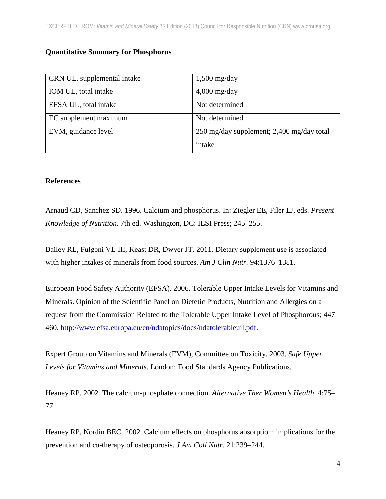## **Quantitative Summary for Phosphorus**

| CRN UL, supplemental intake | $1,500$ mg/day                            |
|-----------------------------|-------------------------------------------|
| IOM UL, total intake        | $4,000$ mg/day                            |
| EFSA UL, total intake       | Not determined                            |
| EC supplement maximum       | Not determined                            |
| EVM, guidance level         | 250 mg/day supplement; 2,400 mg/day total |
|                             | intake                                    |

### **References**

Arnaud CD, Sanchez SD. 1996. Calcium and phosphorus. In: Ziegler EE, Filer LJ, eds. *Present Knowledge of Nutrition.* 7th ed. Washington, DC: ILSI Press; 245–255.

Bailey RL, Fulgoni VL III, Keast DR, Dwyer JT. 2011. Dietary supplement use is associated with higher intakes of minerals from food sources. *Am J Clin Nutr.* 94:1376–1381.

European Food Safety Authority (EFSA). 2006. Tolerable Upper Intake Levels for Vitamins and Minerals. Opinion of the Scientific Panel on Dietetic Products, Nutrition and Allergies on a request from the Commission Related to the Tolerable Upper Intake Level of Phosphorous; 447– 460. [http://www.efsa.europa.eu/en/ndatopics/docs/ndatolerableuil.pdf.](http://www.efsa.europa.eu/en/ndatopics/docs/ndatolerableuil.pdf)

Expert Group on Vitamins and Minerals (EVM), Committee on Toxicity. 2003. *Safe Upper Levels for Vitamins and Minerals*. London: Food Standards Agency Publications.

Heaney RP. 2002. The calcium-phosphate connection. *Alternative Ther Women's Health.* 4:75– 77.

Heaney RP, Nordin BEC. 2002. Calcium effects on phosphorus absorption: implications for the prevention and co-therapy of osteoporosis. *J Am Coll Nutr.* 21:239–244.